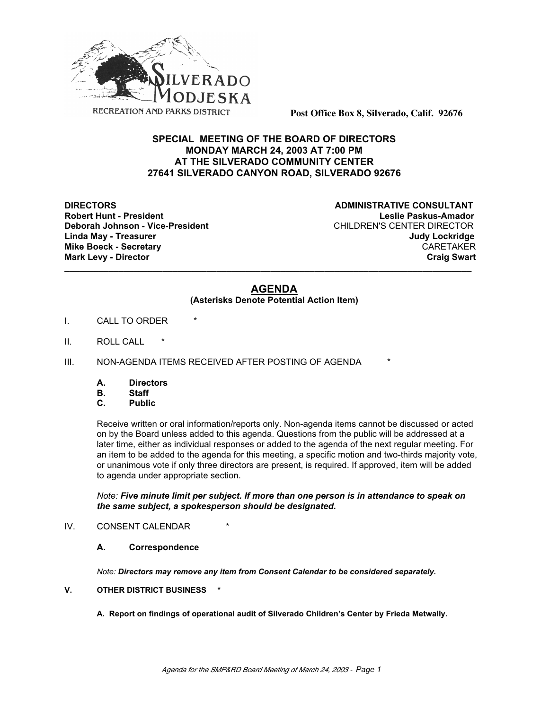

**Post Office Box 8, Silverado, Calif. 92676**

# **SPECIAL MEETING OF THE BOARD OF DIRECTORS MONDAY MARCH 24, 2003 AT 7:00 PM AT THE SILVERADO COMMUNITY CENTER 27641 SILVERADO CANYON ROAD, SILVERADO 92676**

**Deborah Johnson - Vice-President Mark Levy - Director** 

**DIRECTORS CONSULTANT Robert Hunt - President Leslie Paskus-Amador Linda May - Treasurer Judy Lockridge** Mike Boeck - Secretary **CARETAKER**<br>Mark Levy - Director **CARETAKER** 

## **AGENDA**

**\_\_\_\_\_\_\_\_\_\_\_\_\_\_\_\_\_\_\_\_\_\_\_\_\_\_\_\_\_\_\_\_\_\_\_\_\_\_\_\_\_\_\_\_\_\_\_\_\_\_\_\_\_\_\_\_\_\_\_\_\_\_\_\_\_\_\_\_\_\_\_\_\_\_\_\_\_\_\_\_\_\_\_**

### **(Asterisks Denote Potential Action Item)**

- I. CALL TO ORDER
- II. ROLL CALL
- III. NON-AGENDA ITEMS RECEIVED AFTER POSTING OF AGENDA \*
	- **A. Directors**
	- **B. Staff**
	- **Public**

Receive written or oral information/reports only. Non-agenda items cannot be discussed or acted on by the Board unless added to this agenda. Questions from the public will be addressed at a later time, either as individual responses or added to the agenda of the next regular meeting. For an item to be added to the agenda for this meeting, a specific motion and two-thirds majority vote, or unanimous vote if only three directors are present, is required. If approved, item will be added to agenda under appropriate section.

### *Note: Five minute limit per subject. If more than one person is in attendance to speak on the same subject, a spokesperson should be designated.*

## IV. CONSENT CALENDAR

#### **A. Correspondence**

*Note: Directors may remove any item from Consent Calendar to be considered separately.*

### **V. OTHER DISTRICT BUSINESS \***

**A. Report on findings of operational audit of Silverado Children's Center by Frieda Metwally.**